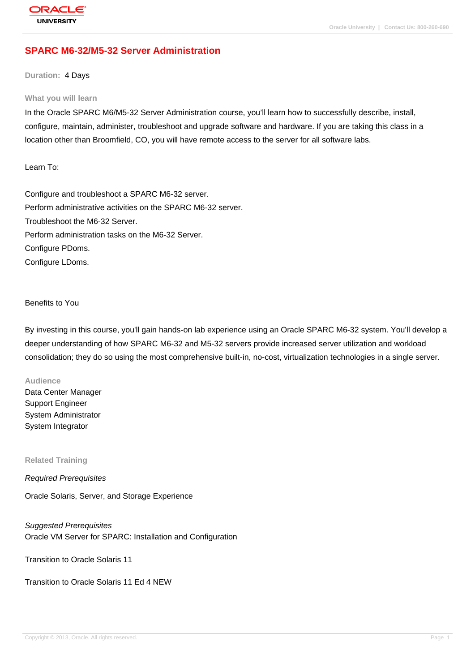# **[SPARC M6-32/](http://education.oracle.com/pls/web_prod-plq-dad/db_pages.getpage?page_id=3)M5-32 Server Administration**

#### **Duration:** 4 Days

#### **What you will learn**

In the Oracle SPARC M6/M5-32 Server Administration course, you'll learn how to successfully describe, install, configure, maintain, administer, troubleshoot and upgrade software and hardware. If you are taking this class in a location other than Broomfield, CO, you will have remote access to the server for all software labs.

Learn To:

Configure and troubleshoot a SPARC M6-32 server. Perform administrative activities on the SPARC M6-32 server. Troubleshoot the M6-32 Server. Perform administration tasks on the M6-32 Server. Configure PDoms. Configure LDoms.

### Benefits to You

By investing in this course, you'll gain hands-on lab experience using an Oracle SPARC M6-32 system. You'll develop a deeper understanding of how SPARC M6-32 and M5-32 servers provide increased server utilization and workload consolidation; they do so using the most comprehensive built-in, no-cost, virtualization technologies in a single server.

#### **Audience**

Data Center Manager Support Engineer System Administrator System Integrator

**Related Training**

Required Prerequisites

Oracle Solaris, Server, and Storage Experience

Suggested Prerequisites Oracle VM Server for SPARC: Installation and Configuration

Transition to Oracle Solaris 11

Transition to Oracle Solaris 11 Ed 4 NEW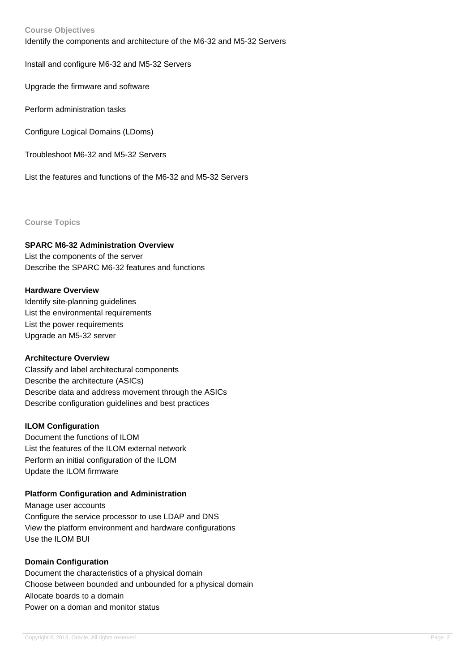### **Course Objectives**

Identify the components and architecture of the M6-32 and M5-32 Servers

Install and configure M6-32 and M5-32 Servers

Upgrade the firmware and software

Perform administration tasks

Configure Logical Domains (LDoms)

Troubleshoot M6-32 and M5-32 Servers

List the features and functions of the M6-32 and M5-32 Servers

**Course Topics**

### **SPARC M6-32 Administration Overview**

List the components of the server Describe the SPARC M6-32 features and functions

### **Hardware Overview**

Identify site-planning guidelines List the environmental requirements List the power requirements Upgrade an M5-32 server

#### **Architecture Overview**

Classify and label architectural components Describe the architecture (ASICs) Describe data and address movement through the ASICs Describe configuration guidelines and best practices

### **ILOM Configuration**

Document the functions of ILOM List the features of the ILOM external network Perform an initial configuration of the ILOM Update the ILOM firmware

# **Platform Configuration and Administration**

Manage user accounts Configure the service processor to use LDAP and DNS View the platform environment and hardware configurations Use the ILOM BUI

### **Domain Configuration**

Document the characteristics of a physical domain Choose between bounded and unbounded for a physical domain Allocate boards to a domain Power on a doman and monitor status